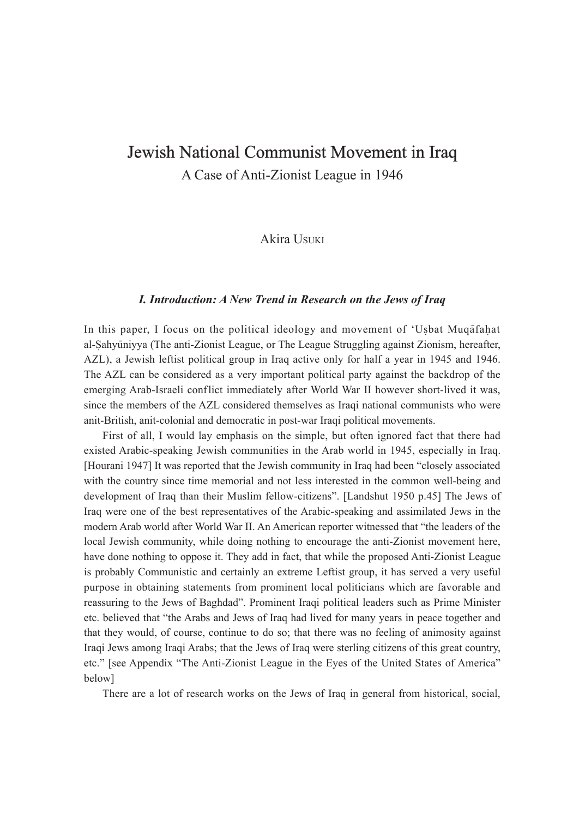# Jewish National Communist Movement in Iraq

A Case of Anti-Zionist League in 1946

Akira USUKI

### *I. Introduction: A New Trend in Research on the Jews of Iraq*

In this paper, I focus on the political ideology and movement of 'Usbat Muqafahat al-Sahyūniyya (The anti-Zionist League, or The League Struggling against Zionism, hereafter, AZL), a Jewish leftist political group in Iraq active only for half a year in 1945 and 1946. The AZL can be considered as a very important political party against the backdrop of the emerging Arab-Israeli conflict immediately after World War II however short-lived it was, since the members of the AZL considered themselves as Iraqi national communists who were anit-British, anit-colonial and democratic in post-war Iraqi political movements.

First of all, I would lay emphasis on the simple, but often ignored fact that there had existed Arabic-speaking Jewish communities in the Arab world in 1945, especially in Iraq. [Hourani 1947] It was reported that the Jewish community in Iraq had been "closely associated with the country since time memorial and not less interested in the common well-being and development of Iraq than their Muslim fellow-citizens". [Landshut 1950 p.45] The Jews of Iraq were one of the best representatives of the Arabic-speaking and assimilated Jews in the modern Arab world after World War II. An American reporter witnessed that "the leaders of the local Jewish community, while doing nothing to encourage the anti-Zionist movement here, have done nothing to oppose it. They add in fact, that while the proposed Anti-Zionist League is probably Communistic and certainly an extreme Leftist group, it has served a very useful purpose in obtaining statements from prominent local politicians which are favorable and reassuring to the Jews of Baghdad". Prominent Iraqi political leaders such as Prime Minister etc. believed that "the Arabs and Jews of Iraq had lived for many years in peace together and that they would, of course, continue to do so; that there was no feeling of animosity against Iraqi Jews among Iraqi Arabs; that the Jews of Iraq were sterling citizens of this great country, etc." [see Appendix "The Anti-Zionist League in the Eyes of the United States of America" below]

There are a lot of research works on the Jews of Iraq in general from historical, social,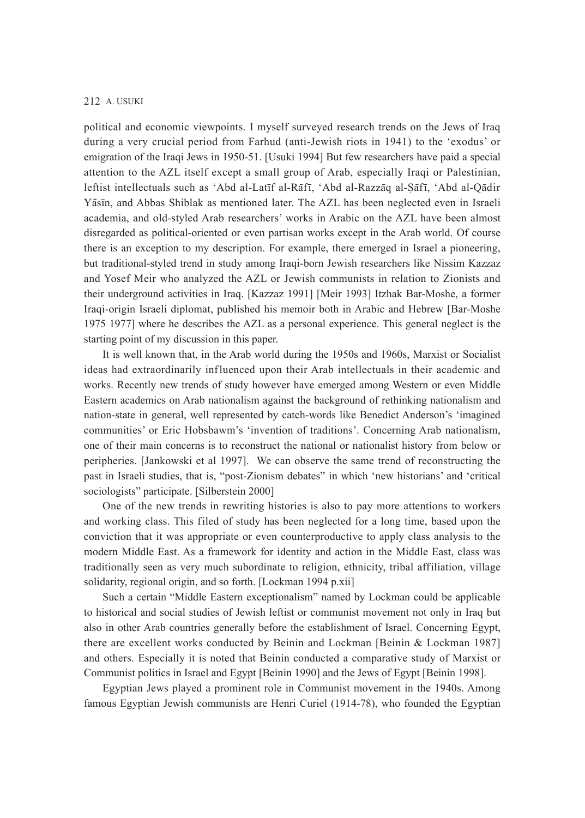political and economic viewpoints. I myself surveyed research trends on the Jews of Iraq during a very crucial period from Farhud (anti-Jewish riots in 1941) to the 'exodus' or emigration of the Iraqi Jews in 1950-51. [Usuki 1994] But few researchers have paid a special attention to the AZL itself except a small group of Arab, especially Iraqi or Palestinian, leftist intellectuals such as 'Abd al-Latīf al-Rāfī, 'Abd al-Razzāq al-Sāfī, 'Abd al-Qādir Ya - sīn, and Abbas Shiblak as mentioned later. The AZL has been neglected even in Israeli academia, and old-styled Arab researchers' works in Arabic on the AZL have been almost disregarded as political-oriented or even partisan works except in the Arab world. Of course there is an exception to my description. For example, there emerged in Israel a pioneering, but traditional-styled trend in study among Iraqi-born Jewish researchers like Nissim Kazzaz and Yosef Meir who analyzed the AZL or Jewish communists in relation to Zionists and their underground activities in Iraq. [Kazzaz 1991] [Meir 1993] Itzhak Bar-Moshe, a former Iraqi-origin Israeli diplomat, published his memoir both in Arabic and Hebrew [Bar-Moshe 1975 1977] where he describes the AZL as a personal experience. This general neglect is the starting point of my discussion in this paper.

It is well known that, in the Arab world during the 1950s and 1960s, Marxist or Socialist ideas had extraordinarily influenced upon their Arab intellectuals in their academic and works. Recently new trends of study however have emerged among Western or even Middle Eastern academics on Arab nationalism against the background of rethinking nationalism and nation-state in general, well represented by catch-words like Benedict Anderson's 'imagined communities' or Eric Hobsbawm's 'invention of traditions'. Concerning Arab nationalism, one of their main concerns is to reconstruct the national or nationalist history from below or peripheries. [Jankowski et al 1997]. We can observe the same trend of reconstructing the past in Israeli studies, that is, "post-Zionism debates" in which 'new historians' and 'critical sociologists" participate. [Silberstein 2000]

One of the new trends in rewriting histories is also to pay more attentions to workers and working class. This filed of study has been neglected for a long time, based upon the conviction that it was appropriate or even counterproductive to apply class analysis to the modern Middle East. As a framework for identity and action in the Middle East, class was traditionally seen as very much subordinate to religion, ethnicity, tribal affiliation, village solidarity, regional origin, and so forth. [Lockman 1994 p.xii]

Such a certain "Middle Eastern exceptionalism" named by Lockman could be applicable to historical and social studies of Jewish leftist or communist movement not only in Iraq but also in other Arab countries generally before the establishment of Israel. Concerning Egypt, there are excellent works conducted by Beinin and Lockman [Beinin & Lockman 1987] and others. Especially it is noted that Beinin conducted a comparative study of Marxist or Communist politics in Israel and Egypt [Beinin 1990] and the Jews of Egypt [Beinin 1998].

Egyptian Jews played a prominent role in Communist movement in the 1940s. Among famous Egyptian Jewish communists are Henri Curiel (1914-78), who founded the Egyptian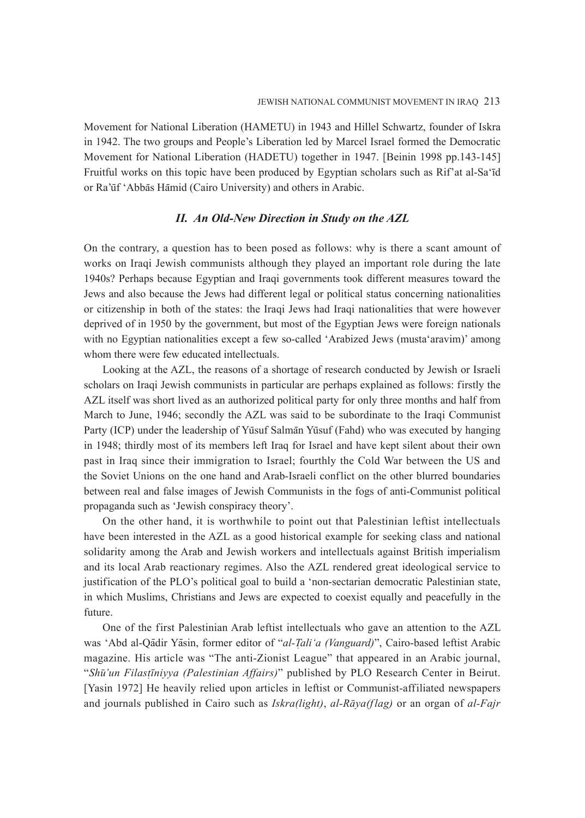Movement for National Liberation (HAMETU) in 1943 and Hillel Schwartz, founder of Iskra in 1942. The two groups and People's Liberation led by Marcel Israel formed the Democratic Movement for National Liberation (HADETU) together in 1947. [Beinin 1998 pp.143-145] Fruitful works on this topic have been produced by Egyptian scholars such as Rif'at al-Sa'īd or Ra'ūf 'Abbās Hāmid (Cairo University) and others in Arabic.

### *II. An Old-New Direction in Study on the AZL*

On the contrary, a question has to been posed as follows: why is there a scant amount of works on Iraqi Jewish communists although they played an important role during the late 1940s? Perhaps because Egyptian and Iraqi governments took different measures toward the Jews and also because the Jews had different legal or political status concerning nationalities or citizenship in both of the states: the Iraqi Jews had Iraqi nationalities that were however deprived of in 1950 by the government, but most of the Egyptian Jews were foreign nationals with no Egyptian nationalities except a few so-called 'Arabized Jews (musta'aravim)' among whom there were few educated intellectuals.

Looking at the AZL, the reasons of a shortage of research conducted by Jewish or Israeli scholars on Iraqi Jewish communists in particular are perhaps explained as follows: firstly the AZL itself was short lived as an authorized political party for only three months and half from March to June, 1946; secondly the AZL was said to be subordinate to the Iraqi Communist Party (ICP) under the leadership of Yūsuf Salmān Yūsuf (Fahd) who was executed by hanging in 1948; thirdly most of its members left Iraq for Israel and have kept silent about their own past in Iraq since their immigration to Israel; fourthly the Cold War between the US and the Soviet Unions on the one hand and Arab-Israeli conflict on the other blurred boundaries between real and false images of Jewish Communists in the fogs of anti-Communist political propaganda such as 'Jewish conspiracy theory'.

On the other hand, it is worthwhile to point out that Palestinian leftist intellectuals have been interested in the AZL as a good historical example for seeking class and national solidarity among the Arab and Jewish workers and intellectuals against British imperialism and its local Arab reactionary regimes. Also the AZL rendered great ideological service to justification of the PLO's political goal to build a 'non-sectarian democratic Palestinian state, in which Muslims, Christians and Jews are expected to coexist equally and peacefully in the future.

One of the first Palestinian Arab leftist intellectuals who gave an attention to the AZL was 'Abd al-Qādir Yāsin, former editor of "*al-Tali'a (Vanguard)*", Cairo-based leftist Arabic 4 magazine. His article was "The anti-Zionist League" that appeared in an Arabic journal, "*Shu - 'un Filast* 4 *īniyya (Palestinian Affairs)*" published by PLO Research Center in Beirut. [Yasin 1972] He heavily relied upon articles in leftist or Communist-affiliated newspapers and journals published in Cairo such as *Iskra(light)*, *al-Rāya(flag)* or an organ of *al-Fajr*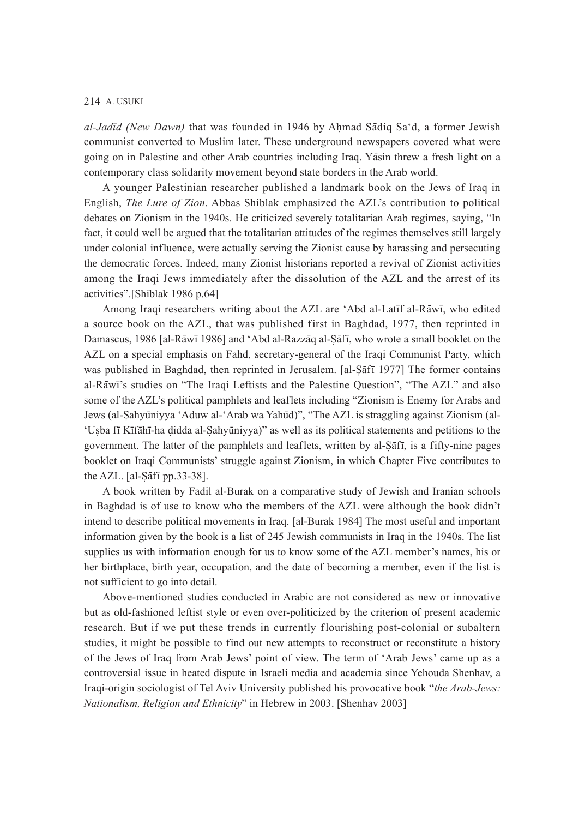al-Jadīd (New Dawn) that was founded in 1946 by Ahmad Sādiq Sa'd, a former Jewish communist converted to Muslim later. These underground newspapers covered what were going on in Palestine and other Arab countries including Iraq. Yasin threw a fresh light on a contemporary class solidarity movement beyond state borders in the Arab world.

A younger Palestinian researcher published a landmark book on the Jews of Iraq in English, *The Lure of Zion*. Abbas Shiblak emphasized the AZL's contribution to political debates on Zionism in the 1940s. He criticized severely totalitarian Arab regimes, saying, "In fact, it could well be argued that the totalitarian attitudes of the regimes themselves still largely under colonial influence, were actually serving the Zionist cause by harassing and persecuting the democratic forces. Indeed, many Zionist historians reported a revival of Zionist activities among the Iraqi Jews immediately after the dissolution of the AZL and the arrest of its activities".[Shiblak 1986 p.64]

Among Iraqi researchers writing about the AZL are 'Abd al-Latīf al-Rāwī, who edited a source book on the AZL, that was published first in Baghdad, 1977, then reprinted in Damascus, 1986 [al-Rāwī 1986] and 'Abd al-Razzāq al-Sāfī, who wrote a small booklet on the 4 AZL on a special emphasis on Fahd, secretary-general of the Iraqi Communist Party, which was published in Baghdad, then reprinted in Jerusalem. [al-Safī 1977] The former contains al-Rāwī's studies on "The Iraqi Leftists and the Palestine Question", "The AZL" and also some of the AZL's political pamphlets and leaflets including "Zionism is Enemy for Arabs and Jews (al-Sahyūniyya 'Aduw al-'Arab wa Yahūd)", "The AZL is straggling against Zionism (al-'Usba fī Kīfāhī-ha didda al-Sahyūniyya)" as well as its political statements and petitions to the government. The latter of the pamphlets and leaflets, written by al-Sāfī, is a fifty-nine pages booklet on Iraqi Communists' struggle against Zionism, in which Chapter Five contributes to the AZL. [al- $\overline{\overline{\text{a}}\text{f}}\overline{\text{f}}$  pp.33-38]. 4

A book written by Fadil al-Burak on a comparative study of Jewish and Iranian schools in Baghdad is of use to know who the members of the AZL were although the book didn't intend to describe political movements in Iraq. [al-Burak 1984] The most useful and important information given by the book is a list of 245 Jewish communists in Iraq in the 1940s. The list supplies us with information enough for us to know some of the AZL member's names, his or her birthplace, birth year, occupation, and the date of becoming a member, even if the list is not sufficient to go into detail.

Above-mentioned studies conducted in Arabic are not considered as new or innovative but as old-fashioned leftist style or even over-politicized by the criterion of present academic research. But if we put these trends in currently f lourishing post-colonial or subaltern studies, it might be possible to find out new attempts to reconstruct or reconstitute a history of the Jews of Iraq from Arab Jews' point of view. The term of 'Arab Jews' came up as a controversial issue in heated dispute in Israeli media and academia since Yehouda Shenhav, a Iraqi-origin sociologist of Tel Aviv University published his provocative book "*the Arab-Jews: Nationalism, Religion and Ethnicity*" in Hebrew in 2003. [Shenhav 2003]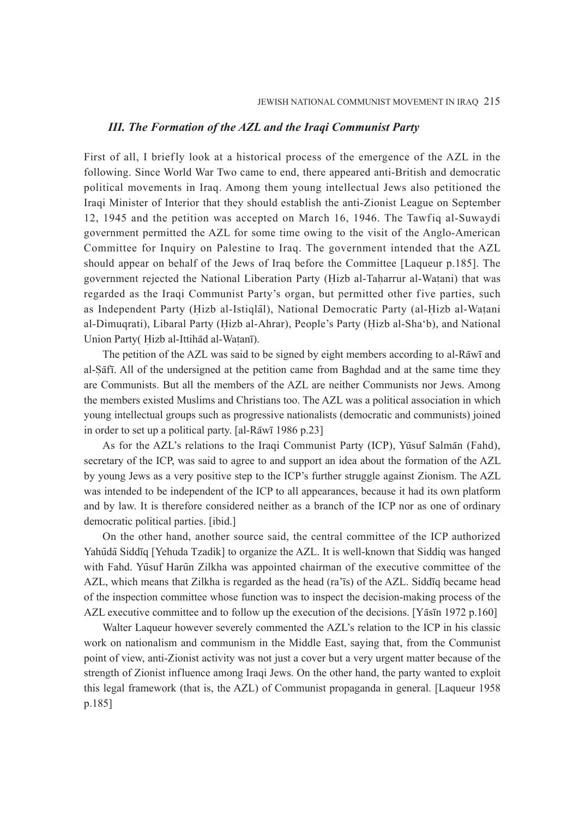#### *III. The Formation of the AZL and the Iraqi Communist Party*

First of all, I briefly look at a historical process of the emergence of the AZL in the following. Since World War Two came to end, there appeared anti-British and democratic political movements in Iraq. Among them young intellectual Jews also petitioned the Iraqi Minister of Interior that they should establish the anti-Zionist League on September 12, 1945 and the petition was accepted on March 16, 1946. The Tawfiq al-Suwaydi government permitted the AZL for some time owing to the visit of the Anglo-American Committee for Inquiry on Palestine to Iraq. The government intended that the AZL should appear on behalf of the Jews of Iraq before the Committee [Laqueur p.185]. The government rejected the National Liberation Party (Hizb al-Taharrur al-Watani) that was 4 regarded as the Iraqi Communist Party's organ, but permitted other five parties, such as Independent Party (Hizb al-Istiqlal), National Democratic Party (al-Hizb al-Watani al-Dimuqrati), Libaral Party (Hizb al-Ahrar), People's Party (Hizb al-Shaʻb), and National Union Party (Hizb al-Ittihad al-Watanī).

The petition of the AZL was said to be signed by eight members according to al-Rāwī and al-Sāfī. All of the undersigned at the petition came from Baghdad and at the same time they are Communists. But all the members of the AZL are neither Communists nor Jews. Among the members existed Muslims and Christians too. The AZL was a political association in which young intellectual groups such as progressive nationalists (democratic and communists) joined in order to set up a political party. [al-Rāwī 1986 p.23]

As for the AZL's relations to the Iraqi Communist Party (ICP), Yūsuf Salmān (Fahd), secretary of the ICP, was said to agree to and support an idea about the formation of the AZL by young Jews as a very positive step to the ICP's further struggle against Zionism. The AZL was intended to be independent of the ICP to all appearances, because it had its own platform and by law. It is therefore considered neither as a branch of the ICP nor as one of ordinary democratic political parties. [ibid.]

On the other hand, another source said, the central committee of the ICP authorized Yahūdā Siddīq [Yehuda Tzadik] to organize the AZL. It is well-known that Siddiq was hanged with Fahd. Yūsuf Harūn Zilkha was appointed chairman of the executive committee of the AZL, which means that Zilkha is regarded as the head (ra'īs) of the AZL. Siddīq became head of the inspection committee whose function was to inspect the decision-making process of the AZL executive committee and to follow up the execution of the decisions. [Y $\bar{a}$ sīn 1972 p.160]

Walter Laqueur however severely commented the AZL's relation to the ICP in his classic work on nationalism and communism in the Middle East, saying that, from the Communist point of view, anti-Zionist activity was not just a cover but a very urgent matter because of the strength of Zionist influence among Iraqi Jews. On the other hand, the party wanted to exploit this legal framework (that is, the AZL) of Communist propaganda in general. [Laqueur 1958 p.185]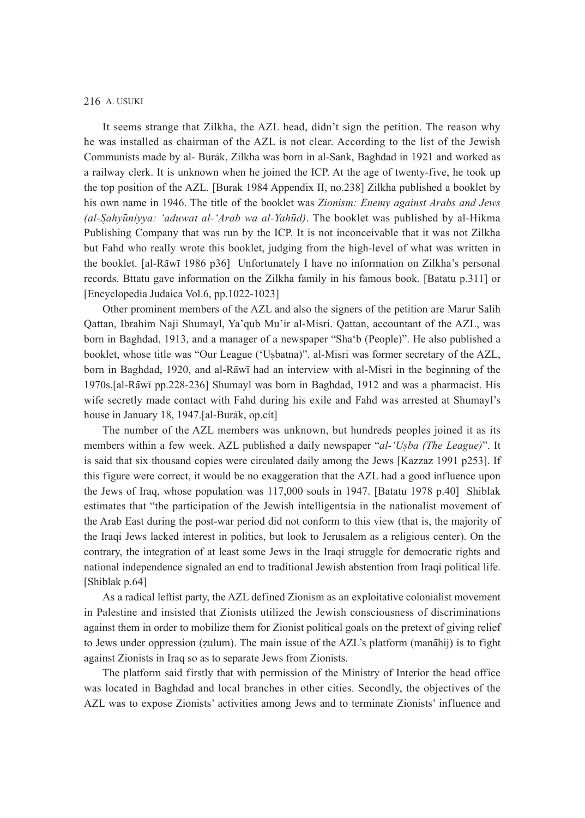It seems strange that Zilkha, the AZL head, didn't sign the petition. The reason why he was installed as chairman of the AZL is not clear. According to the list of the Jewish Communists made by al- Burāk, Zilkha was born in al-Sank, Baghdad in 1921 and worked as a railway clerk. It is unknown when he joined the ICP. At the age of twenty-five, he took up the top position of the AZL. [Burak 1984 Appendix II, no.238] Zilkha published a booklet by his own name in 1946. The title of the booklet was *Zionism: Enemy against Arabs and Jews*  (al-Sahyūniyya: 'aduwat al-'Arab wa al-Yahūd). The booklet was published by al-Hikma Publishing Company that was run by the ICP. It is not inconceivable that it was not Zilkha but Fahd who really wrote this booklet, judging from the high-level of what was written in the booklet. [al-Rāwī 1986 p36] Unfortunately I have no information on Zilkha's personal records. Bttatu gave information on the Zilkha family in his famous book. [Batatu p.311] or [Encyclopedia Judaica Vol.6, pp.1022-1023]

Other prominent members of the AZL and also the signers of the petition are Marur Salih Qattan, Ibrahim Naji Shumayl, Ya'qub Mu'ir al-Misri. Qattan, accountant of the AZL, was born in Baghdad, 1913, and a manager of a newspaper "Sha'b (People)". He also published a booklet, whose title was "Our League ('Usbatna)". al-Misri was former secretary of the AZL, born in Baghdad, 1920, and al-Rāwī had an interview with al-Misri in the beginning of the 1970s.[al-Rāwī pp.228-236] Shumayl was born in Baghdad, 1912 and was a pharmacist. His wife secretly made contact with Fahd during his exile and Fahd was arrested at Shumayl's house in January 18, 1947.[al-Burāk, op.cit]

The number of the AZL members was unknown, but hundreds peoples joined it as its members within a few week. AZL published a daily newspaper "*al-'Usba (The League)*". It is said that six thousand copies were circulated daily among the Jews [Kazzaz 1991 p253]. If this figure were correct, it would be no exaggeration that the AZL had a good influence upon the Jews of Iraq, whose population was 117,000 souls in 1947. [Batatu 1978 p.40] Shiblak estimates that "the participation of the Jewish intelligentsia in the nationalist movement of the Arab East during the post-war period did not conform to this view (that is, the majority of the Iraqi Jews lacked interest in politics, but look to Jerusalem as a religious center). On the contrary, the integration of at least some Jews in the Iraqi struggle for democratic rights and national independence signaled an end to traditional Jewish abstention from Iraqi political life. [Shiblak p.64]

As a radical leftist party, the AZL defined Zionism as an exploitative colonialist movement in Palestine and insisted that Zionists utilized the Jewish consciousness of discriminations against them in order to mobilize them for Zionist political goals on the pretext of giving relief to Jews under oppression (zulum). The main issue of the AZL's platform (manahij) is to fight against Zionists in Iraq so as to separate Jews from Zionists.

The platform said firstly that with permission of the Ministry of Interior the head office was located in Baghdad and local branches in other cities. Secondly, the objectives of the AZL was to expose Zionists' activities among Jews and to terminate Zionists' influence and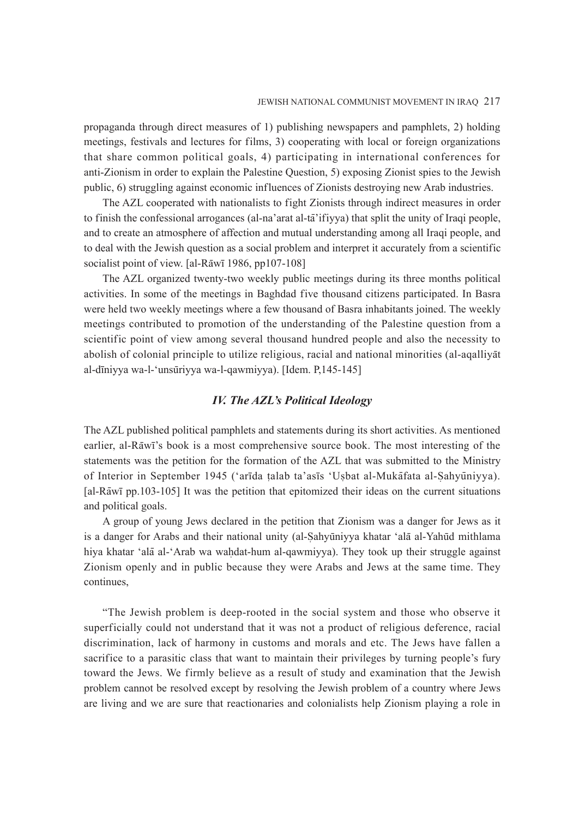propaganda through direct measures of 1) publishing newspapers and pamphlets, 2) holding meetings, festivals and lectures for films, 3) cooperating with local or foreign organizations that share common political goals, 4) participating in international conferences for anti-Zionism in order to explain the Palestine Question, 5) exposing Zionist spies to the Jewish public, 6) struggling against economic influences of Zionists destroying new Arab industries.

The AZL cooperated with nationalists to fight Zionists through indirect measures in order to finish the confessional arrogances (al-na'arat al-tā'ifiyya) that split the unity of Iraqi people, and to create an atmosphere of affection and mutual understanding among all Iraqi people, and to deal with the Jewish question as a social problem and interpret it accurately from a scientific socialist point of view. [al-Rāwī 1986, pp107-108]

The AZL organized twenty-two weekly public meetings during its three months political activities. In some of the meetings in Baghdad five thousand citizens participated. In Basra were held two weekly meetings where a few thousand of Basra inhabitants joined. The weekly meetings contributed to promotion of the understanding of the Palestine question from a scientific point of view among several thousand hundred people and also the necessity to abolish of colonial principle to utilize religious, racial and national minorities (al-aqalliyat al-dīniyya wa-l-'unsūriyya wa-l-qawmiyya). [Idem. P,145-145]

# *IV. The AZL's Political Ideology*

The AZL published political pamphlets and statements during its short activities. As mentioned earlier, al-Rāwī's book is a most comprehensive source book. The most interesting of the statements was the petition for the formation of the AZL that was submitted to the Ministry of Interior in September 1945 ('arīda talab ta'asīs 'Usbat al-Mukāfata al-Sahyūniyya). [al-Rāwī pp.103-105] It was the petition that epitomized their ideas on the current situations and political goals.

A group of young Jews declared in the petition that Zionism was a danger for Jews as it is a danger for Arabs and their national unity (al-Sahyūniyya khatar 'alā al-Yahūd mithlama 4 hiya khatar 'alā al-'Arab wa wahdat-hum al-qawmiyya). They took up their struggle against Zionism openly and in public because they were Arabs and Jews at the same time. They continues,

"The Jewish problem is deep-rooted in the social system and those who observe it superficially could not understand that it was not a product of religious deference, racial discrimination, lack of harmony in customs and morals and etc. The Jews have fallen a sacrifice to a parasitic class that want to maintain their privileges by turning people's fury toward the Jews. We firmly believe as a result of study and examination that the Jewish problem cannot be resolved except by resolving the Jewish problem of a country where Jews are living and we are sure that reactionaries and colonialists help Zionism playing a role in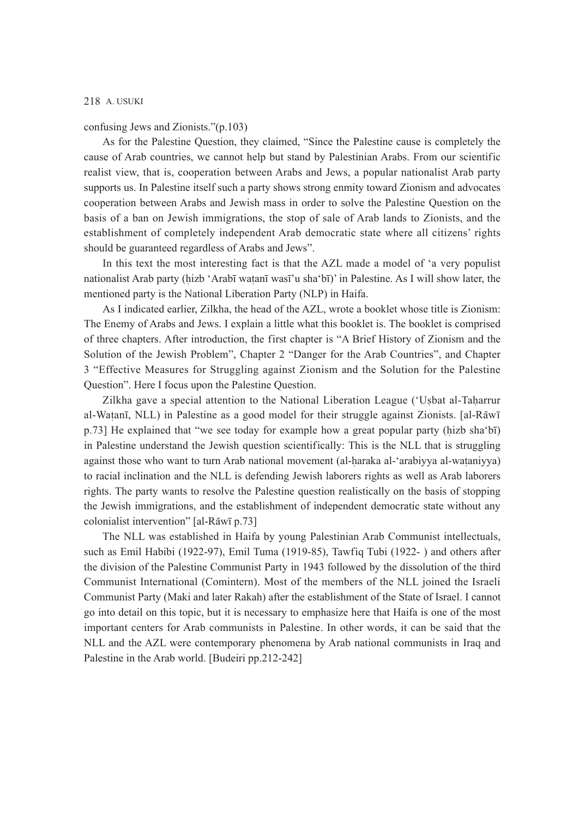confusing Jews and Zionists."(p.103)

As for the Palestine Question, they claimed, "Since the Palestine cause is completely the cause of Arab countries, we cannot help but stand by Palestinian Arabs. From our scientific realist view, that is, cooperation between Arabs and Jews, a popular nationalist Arab party supports us. In Palestine itself such a party shows strong enmity toward Zionism and advocates cooperation between Arabs and Jewish mass in order to solve the Palestine Question on the basis of a ban on Jewish immigrations, the stop of sale of Arab lands to Zionists, and the establishment of completely independent Arab democratic state where all citizens' rights should be guaranteed regardless of Arabs and Jews".

In this text the most interesting fact is that the AZL made a model of 'a very populist nationalist Arab party (h izb 'Arabī wat anī wasī'u sha'bī)' in Palestine. As I will show later, the mentioned party is the National Liberation Party (NLP) in Haifa.

As I indicated earlier, Zilkha, the head of the AZL, wrote a booklet whose title is Zionism: The Enemy of Arabs and Jews. I explain a little what this booklet is. The booklet is comprised of three chapters. After introduction, the first chapter is "A Brief History of Zionism and the Solution of the Jewish Problem", Chapter 2 "Danger for the Arab Countries", and Chapter 3 "Effective Measures for Struggling against Zionism and the Solution for the Palestine Question". Here I focus upon the Palestine Question.

Zilkha gave a special attention to the National Liberation League ('Us bat al-Tah arrur al-Watanī, NLL) in Palestine as a good model for their struggle against Zionists. [al-Rāwī p.73] He explained that "we see today for example how a great popular party (hizb sha'bī) in Palestine understand the Jewish question scientifically: This is the NLL that is struggling against those who want to turn Arab national movement (al-haraka al-'arabiyya al-wataniyya) to racial inclination and the NLL is defending Jewish laborers rights as well as Arab laborers rights. The party wants to resolve the Palestine question realistically on the basis of stopping the Jewish immigrations, and the establishment of independent democratic state without any  $\frac{1}{2}$  colonialist intervention" [al-Rāwī p.73]

The NLL was established in Haifa by young Palestinian Arab Communist intellectuals, such as Emil Habibi (1922-97), Emil Tuma (1919-85), Tawfiq Tubi (1922- ) and others after the division of the Palestine Communist Party in 1943 followed by the dissolution of the third Communist International (Comintern). Most of the members of the NLL joined the Israeli Communist Party (Maki and later Rakah) after the establishment of the State of Israel. I cannot go into detail on this topic, but it is necessary to emphasize here that Haifa is one of the most important centers for Arab communists in Palestine. In other words, it can be said that the NLL and the AZL were contemporary phenomena by Arab national communists in Iraq and Palestine in the Arab world. [Budeiri pp.212-242]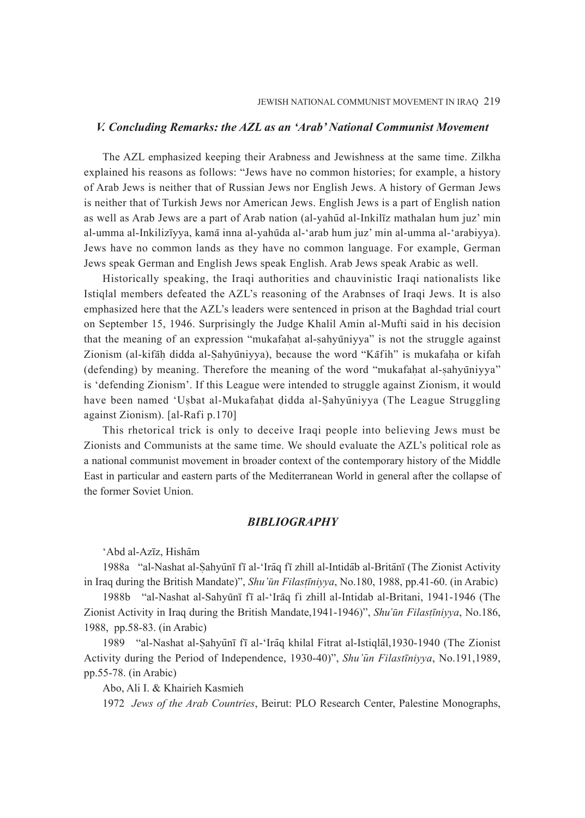#### *V. Concluding Remarks: the AZL as an 'Arab' National Communist Movement*

The AZL emphasized keeping their Arabness and Jewishness at the same time. Zilkha explained his reasons as follows: "Jews have no common histories; for example, a history of Arab Jews is neither that of Russian Jews nor English Jews. A history of German Jews is neither that of Turkish Jews nor American Jews. English Jews is a part of English nation as well as Arab Jews are a part of Arab nation (al-yahūd al-Inkilīz mathalan hum juz' min al-umma al-Inkilizīyya, kamā inna al-yahūda al-'arab hum juz' min al-umma al-'arabiyya). Jews have no common lands as they have no common language. For example, German Jews speak German and English Jews speak English. Arab Jews speak Arabic as well.

Historically speaking, the Iraqi authorities and chauvinistic Iraqi nationalists like Istiqlal members defeated the AZL's reasoning of the Arabnses of Iraqi Jews. It is also emphasized here that the AZL's leaders were sentenced in prison at the Baghdad trial court on September 15, 1946. Surprisingly the Judge Khalil Amin al-Mufti said in his decision that the meaning of an expression "mukafahat al-sahyūniyya" is not the struggle against Zionism (al-kifah didda al-Sahyūniyya), because the word "Kafih" is mukafaha or kifah (defending) by meaning. Therefore the meaning of the word "mukafahat al-sahyūniyya" is 'defending Zionism'. If this League were intended to struggle against Zionism, it would have been named 'Usbat al-Mukafahat didda al-Sahyūniyya (The League Struggling 4 against Zionism). [al-Rafi p.170]

This rhetorical trick is only to deceive Iraqi people into believing Jews must be Zionists and Communists at the same time. We should evaluate the AZL's political role as a national communist movement in broader context of the contemporary history of the Middle East in particular and eastern parts of the Mediterranean World in general after the collapse of the former Soviet Union.

# *BIBLIOGRAPHY*

# 'Abd al-Azīz, Hishām

1988a "al-Nashat al-Sahyūnī fī al-'Irāq fī zhill al-Intidāb al-Britānī (The Zionist Activity in Iraq during the British Mandate)", *Shu'u - n Filast īniyya*, No.180, 1988, pp.41-60. (in Arabic) 4

1988b "al-Nashat al-Sahyūnī fī al-'Irāq fi zhill al-Intidab al-Britani, 1941-1946 (The Zionist Activity in Iraq during the British Mandate,1941-1946)", *Shu'u - n Filast* 4 *īniyya*, No.186, 1988, pp.58-83. (in Arabic)

1989 "al-Nashat al-Sahyūnī fī al-'Irāq khilal Fitrat al-Istiqlāl, 1930-1940 (The Zionist Activity during the Period of Independence, 1930-40)", *Shu'un Filastīniyya*, No.191,1989, pp.55-78. (in Arabic)

Abo, Ali I. & Khairieh Kasmieh

1972 *Jews of the Arab Countries*, Beirut: PLO Research Center, Palestine Monographs,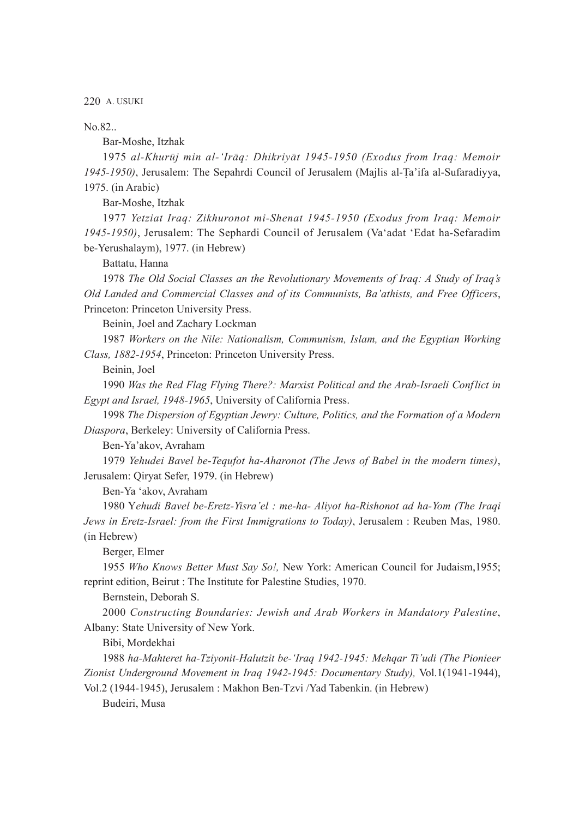No.82..

Bar-Moshe, Itzhak

1975 al-Khurūj min al-'Irāq: Dhikriyāt 1945-1950 (Exodus from Iraq: Memoir *1945-1950)*, Jerusalem: The Sepahrdi Council of Jerusalem (Majlis al-T 4 a'ifa al-Sufaradiyya, 1975. (in Arabic)

Bar-Moshe, Itzhak

1977 *Yetziat Iraq: Zikhuronot mi-Shenat 1945-1950 (Exodus from Iraq: Memoir 1945-1950)*, Jerusalem: The Sephardi Council of Jerusalem (Va'adat 'Edat ha-Sefaradim be-Yerushalaym), 1977. (in Hebrew)

Battatu, Hanna

1978 *The Old Social Classes an the Revolutionary Movements of Iraq: A Study of Iraq's Old Landed and Commercial Classes and of its Communists, Ba'athists, and Free Officers*, Princeton: Princeton University Press.

Beinin, Joel and Zachary Lockman

1987 *Workers on the Nile: Nationalism, Communism, Islam, and the Egyptian Working Class, 1882-1954*, Princeton: Princeton University Press.

Beinin, Joel

1990 *Was the Red Flag Flying There?: Marxist Political and the Arab-Israeli Conflict in Egypt and Israel, 1948-1965*, University of California Press.

1998 *The Dispersion of Egyptian Jewry: Culture, Politics, and the Formation of a Modern Diaspora*, Berkeley: University of California Press.

Ben-Ya'akov, Avraham

1979 *Yehudei Bavel be-Tequfot ha-Aharonot (The Jews of Babel in the modern times)*, Jerusalem: Qiryat Sefer, 1979. (in Hebrew)

Ben-Ya 'akov, Avraham

1980 Y*ehudi Bavel be-Eretz-Yisra'el : me-ha- Aliyot ha-Rishonot ad ha-Yom (The Iraqi Jews in Eretz-Israel: from the First Immigrations to Today)*, Jerusalem : Reuben Mas, 1980. (in Hebrew)

Berger, Elmer

1955 *Who Knows Better Must Say So!,* New York: American Council for Judaism,1955; reprint edition, Beirut : The Institute for Palestine Studies, 1970.

Bernstein, Deborah S.

2000 *Constructing Boundaries: Jewish and Arab Workers in Mandatory Palestine*, Albany: State University of New York.

Bibi, Mordekhai

1988 *ha-Mahteret ha-Tziyonit-Halutzit be-'Iraq 1942-1945: Mehqar Ti'udi (The Pionieer Zionist Underground Movement in Iraq 1942-1945: Documentary Study),* Vol.1(1941-1944),

Vol.2 (1944-1945), Jerusalem : Makhon Ben-Tzvi /Yad Tabenkin. (in Hebrew) Budeiri, Musa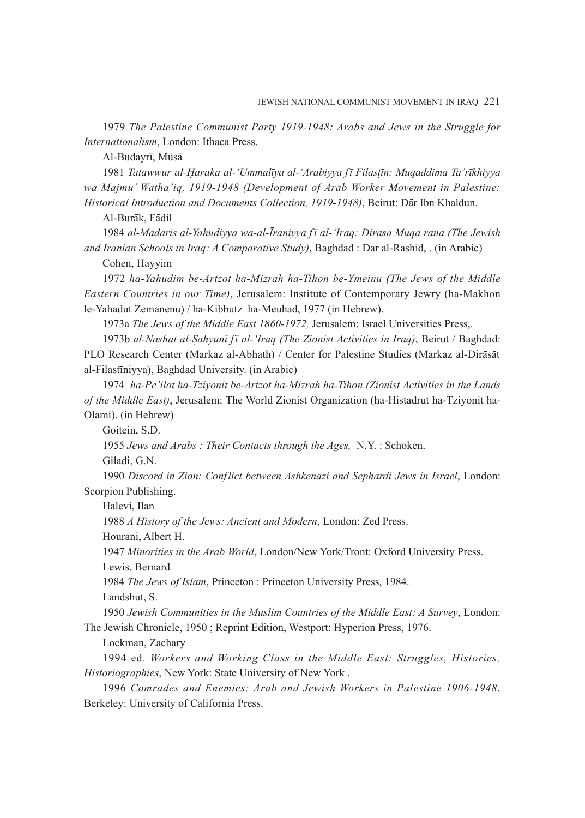1979 *The Palestine Communist Party 1919-1948: Arabs and Jews in the Struggle for Internationalism*, London: Ithaca Press.

Al-Budayrī, Mūsā

1981 *Tatawwur al-H*<sup>4</sup> *araka al-'Ummalīya al-'Arabiyya fī Filast* 4 *īn: Muqaddima Ta'rīkhiyya wa Majmu' Watha'iq, 1919-1948 (Development of Arab Worker Movement in Palestine:*  Historical Introduction and Documents Collection, 1919-1948), Beirut: Dār Ibn Khaldun.

Al-Burāk, Fādil

1984 al-Madāris al-Yahūdiyya wa-al-Īraniyya fī al-'Irāq: Dirāsa Muqā rana (The Jewish *and Iranian Schools in Iraq: A Comparative Study)*, Baghdad : Dar al-Rashīd, . (in Arabic)

Cohen, Hayyim

1972 *ha-Yahudim be-Artzot ha-Mizrah ha-Tihon be-Ymeinu (The Jews of the Middle Eastern Countries in our Time)*, Jerusalem: Institute of Contemporary Jewry (ha-Makhon le-Yahadut Zemanenu) / ha-Kibbutz ha-Meuhad, 1977 (in Hebrew).

1973a *The Jews of the Middle East 1860-1972,* Jerusalem: Israel Universities Press,.

1973b al-Nashāt al-Şahyūnī fī al-'Irāq (The Zionist Activities in Iraq), Beirut / Baghdad: PLO Research Center (Markaz al-Abhath) / Center for Palestine Studies (Markaz al-Dirāsāt al-Filastīniyya), Baghdad University. (in Arabic)

1974 *ha-Pe'ilot ha-Tziyonit be-Artzot ha-Mizrah ha-Tihon (Zionist Activities in the Lands of the Middle East)*, Jerusalem: The World Zionist Organization (ha-Histadrut ha-Tziyonit ha-Olami). (in Hebrew)

Goitein, S.D.

1955 *Jews and Arabs : Their Contacts through the Ages,* N.Y. : Schoken.

Giladi, G.N.

1990 *Discord in Zion: Conflict between Ashkenazi and Sephardi Jews in Israel*, London: Scorpion Publishing.

Halevi, Ilan

1988 *A History of the Jews: Ancient and Modern*, London: Zed Press.

Hourani, Albert H.

1947 *Minorities in the Arab World*, London/New York/Tront: Oxford University Press.

Lewis, Bernard

1984 *The Jews of Islam*, Princeton : Princeton University Press, 1984.

Landshut, S.

1950 *Jewish Communities in the Muslim Countries of the Middle East: A Survey*, London: The Jewish Chronicle, 1950 ; Reprint Edition, Westport: Hyperion Press, 1976.

Lockman, Zachary

1994 ed. *Workers and Working Class in the Middle East: Struggles, Histories, Historiographies*, New York: State University of New York .

1996 *Comrades and Enemies: Arab and Jewish Workers in Palestine 1906-1948*, Berkeley: University of California Press.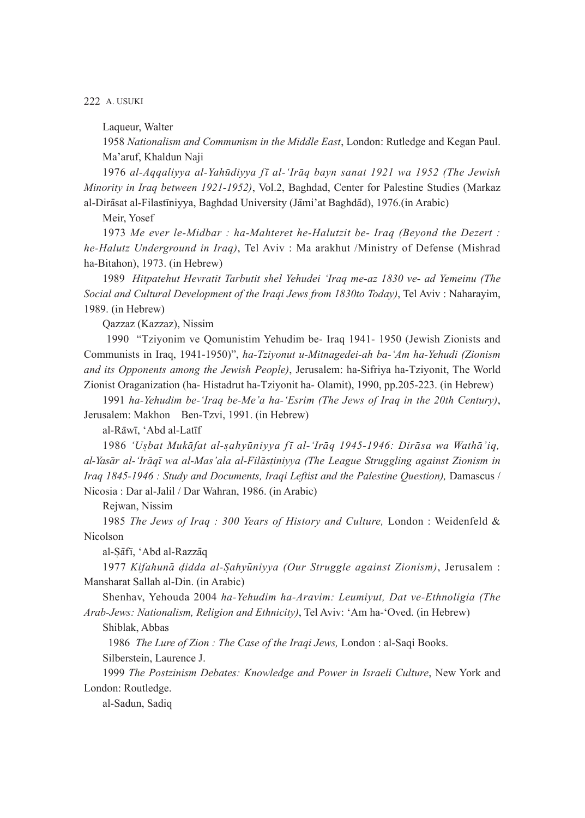Laqueur, Walter

1958 *Nationalism and Communism in the Middle East*, London: Rutledge and Kegan Paul. Ma'aruf, Khaldun Naji

1976 al-Aqqaliyya al-Yahūdiyya fī al-'Irāq bayn sanat 1921 wa 1952 (The Jewish *Minority in Iraq between 1921-1952)*, Vol.2, Baghdad, Center for Palestine Studies (Markaz al-Dirāsat al-Filastīniyya, Baghdad University (Jāmi'at Baghdād), 1976. (in Arabic)

Meir, Yosef

1973 *Me ever le-Midbar : ha-Mahteret he-Halutzit be- Iraq (Beyond the Dezert : he-Halutz Underground in Iraq)*, Tel Aviv : Ma arakhut /Ministry of Defense (Mishrad ha-Bitahon), 1973. (in Hebrew)

1989 *Hitpatehut Hevratit Tarbutit shel Yehudei 'Iraq me-az 1830 ve- ad Yemeinu (The Social and Cultural Development of the Iraqi Jews from 1830to Today)*, Tel Aviv : Naharayim, 1989. (in Hebrew)

Qazzaz (Kazzaz), Nissim

 1990 "Tziyonim ve Qomunistim Yehudim be- Iraq 1941- 1950 (Jewish Zionists and Communists in Iraq, 1941-1950)", *ha-Tziyonut u-Mitnagedei-ah ba-'Am ha-Yehudi (Zionism and its Opponents among the Jewish People)*, Jerusalem: ha-Sifriya ha-Tziyonit, The World Zionist Oraganization (ha- Histadrut ha-Tziyonit ha- Olamit), 1990, pp.205-223. (in Hebrew)

1991 *ha-Yehudim be-'Iraq be-Me'a ha-'Esrim (The Jews of Iraq in the 20th Century)*, Jerusalem: Makhon Ben-Tzvi, 1991. (in Hebrew)

al-Rāwī, 'Abd al-Latīf

1986 'Usbat Mukāfat al-sahyūniyya fī al-'Irāq 1945-1946: Dirāsa wa Wathā'iq, *al-Yasa - r al-'Ira - qī wa al-Mas'ala al-Fila - st* 4 *iniyya (The League Struggling against Zionism in Iraq 1845-1946 : Study and Documents, Iraqi Leftist and the Palestine Question),* Damascus / Nicosia : Dar al-Jalil / Dar Wahran, 1986. (in Arabic)

Rejwan, Nissim

1985 *The Jews of Iraq : 300 Years of History and Culture,* London : Weidenfeld & Nicolson

al-Sāfī, 'Abd al-Razzāq

1977 Kifahunā didda al-Sahyūniyya (Our Struggle against Zionism), Jerusalem : Mansharat Sallah al-Din. (in Arabic)

Shenhav, Yehouda 2004 *ha-Yehudim ha-Aravim: Leumiyut, Dat ve-Ethnoligia (The Arab-Jews: Nationalism, Religion and Ethnicity)*, Tel Aviv: 'Am ha-'Oved. (in Hebrew)

Shiblak, Abbas

 1986 *The Lure of Zion : The Case of the Iraqi Jews,* London : al-Saqi Books. Silberstein, Laurence J.

1999 *The Postzinism Debates: Knowledge and Power in Israeli Culture*, New York and London: Routledge.

al-Sadun, Sadiq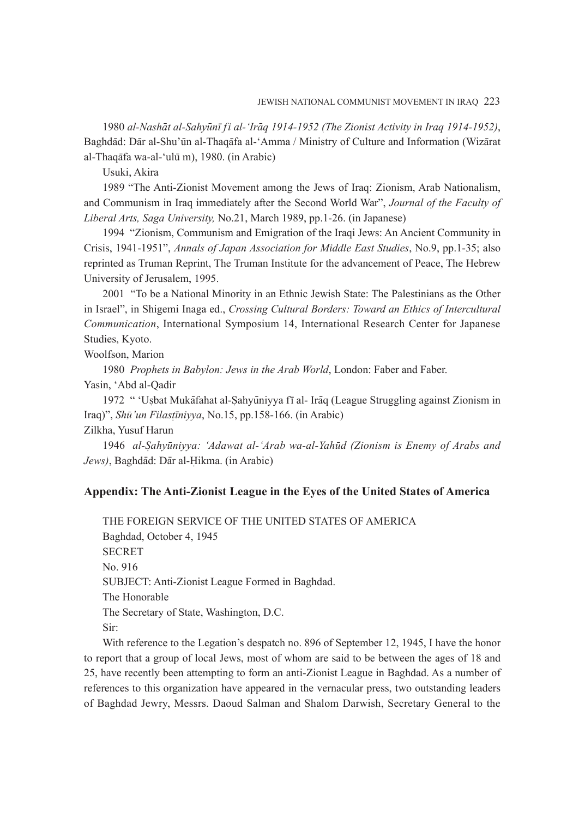1980 al-Nashāt al-Sahyūnī fi al-'Irāq 1914-1952 (The Zionist Activity in Iraq 1914-1952), Baghdād: Dār al-Shu'ūn al-Thaqāfa al-'Amma / Ministry of Culture and Information (Wizārat al-Thaqāfa wa-al-'ulū m), 1980. (in Arabic)

Usuki, Akira

1989 "The Anti-Zionist Movement among the Jews of Iraq: Zionism, Arab Nationalism, and Communism in Iraq immediately after the Second World War", *Journal of the Faculty of Liberal Arts, Saga University,* No.21, March 1989, pp.1-26. (in Japanese)

1994 "Zionism, Communism and Emigration of the Iraqi Jews: An Ancient Community in Crisis, 1941-1951", *Annals of Japan Association for Middle East Studies*, No.9, pp.1-35; also reprinted as Truman Reprint, The Truman Institute for the advancement of Peace, The Hebrew University of Jerusalem, 1995.

2001 "To be a National Minority in an Ethnic Jewish State: The Palestinians as the Other in Israel", in Shigemi Inaga ed., *Crossing Cultural Borders: Toward an Ethics of Intercultural Communication*, International Symposium 14, International Research Center for Japanese Studies, Kyoto.

Woolfson, Marion

1980 *Prophets in Babylon: Jews in the Arab World*, London: Faber and Faber. Yasin, 'Abd al-Qadir

1972 " 'Usbat Mukāfahat al-Sahyūniyya fī al- Irāq (League Struggling against Zionism in 4 Iraq)", *Shu - 'un Filast* 4 *īniyya*, No.15, pp.158-166. (in Arabic)

Zilkha, Yusuf Harun

1946 al-Sahyūniyya: 'Adawat al-'Arab wa-al-Yahūd (Zionism is Enemy of Arabs and Jews), Baghdād: Dār al-Hikma. (in Arabic)

# **Appendix: The Anti-Zionist League in the Eyes of the United States of America**

THE FOREIGN SERVICE OF THE UNITED STATES OF AMERICA Baghdad, October 4, 1945 **SECRET** No. 916 SUBJECT: Anti-Zionist League Formed in Baghdad. The Honorable The Secretary of State, Washington, D.C. Sir:

With reference to the Legation's despatch no. 896 of September 12, 1945, I have the honor to report that a group of local Jews, most of whom are said to be between the ages of 18 and 25, have recently been attempting to form an anti-Zionist League in Baghdad. As a number of references to this organization have appeared in the vernacular press, two outstanding leaders of Baghdad Jewry, Messrs. Daoud Salman and Shalom Darwish, Secretary General to the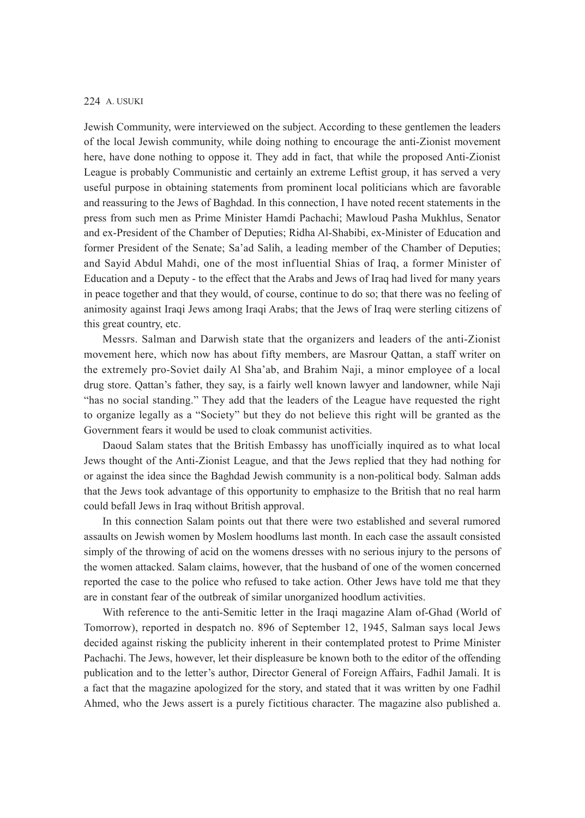Jewish Community, were interviewed on the subject. According to these gentlemen the leaders of the local Jewish community, while doing nothing to encourage the anti-Zionist movement here, have done nothing to oppose it. They add in fact, that while the proposed Anti-Zionist League is probably Communistic and certainly an extreme Leftist group, it has served a very useful purpose in obtaining statements from prominent local politicians which are favorable and reassuring to the Jews of Baghdad. In this connection, I have noted recent statements in the press from such men as Prime Minister Hamdi Pachachi; Mawloud Pasha Mukhlus, Senator and ex-President of the Chamber of Deputies; Ridha Al-Shabibi, ex-Minister of Education and former President of the Senate; Sa'ad Salih, a leading member of the Chamber of Deputies; and Sayid Abdul Mahdi, one of the most influential Shias of Iraq, a former Minister of Education and a Deputy - to the effect that the Arabs and Jews of Iraq had lived for many years in peace together and that they would, of course, continue to do so; that there was no feeling of animosity against Iraqi Jews among Iraqi Arabs; that the Jews of Iraq were sterling citizens of this great country, etc.

Messrs. Salman and Darwish state that the organizers and leaders of the anti-Zionist movement here, which now has about fifty members, are Masrour Qattan, a staff writer on the extremely pro-Soviet daily Al Sha'ab, and Brahim Naji, a minor employee of a local drug store. Qattan's father, they say, is a fairly well known lawyer and landowner, while Naji "has no social standing." They add that the leaders of the League have requested the right to organize legally as a "Society" but they do not believe this right will be granted as the Government fears it would be used to cloak communist activities.

Daoud Salam states that the British Embassy has unofficially inquired as to what local Jews thought of the Anti-Zionist League, and that the Jews replied that they had nothing for or against the idea since the Baghdad Jewish community is a non-political body. Salman adds that the Jews took advantage of this opportunity to emphasize to the British that no real harm could befall Jews in Iraq without British approval.

In this connection Salam points out that there were two established and several rumored assaults on Jewish women by Moslem hoodlums last month. In each case the assault consisted simply of the throwing of acid on the womens dresses with no serious injury to the persons of the women attacked. Salam claims, however, that the husband of one of the women concerned reported the case to the police who refused to take action. Other Jews have told me that they are in constant fear of the outbreak of similar unorganized hoodlum activities.

With reference to the anti-Semitic letter in the Iraqi magazine Alam of-Ghad (World of Tomorrow), reported in despatch no. 896 of September 12, 1945, Salman says local Jews decided against risking the publicity inherent in their contemplated protest to Prime Minister Pachachi. The Jews, however, let their displeasure be known both to the editor of the offending publication and to the letter's author, Director General of Foreign Affairs, Fadhil Jamali. It is a fact that the magazine apologized for the story, and stated that it was written by one Fadhil Ahmed, who the Jews assert is a purely fictitious character. The magazine also published a.